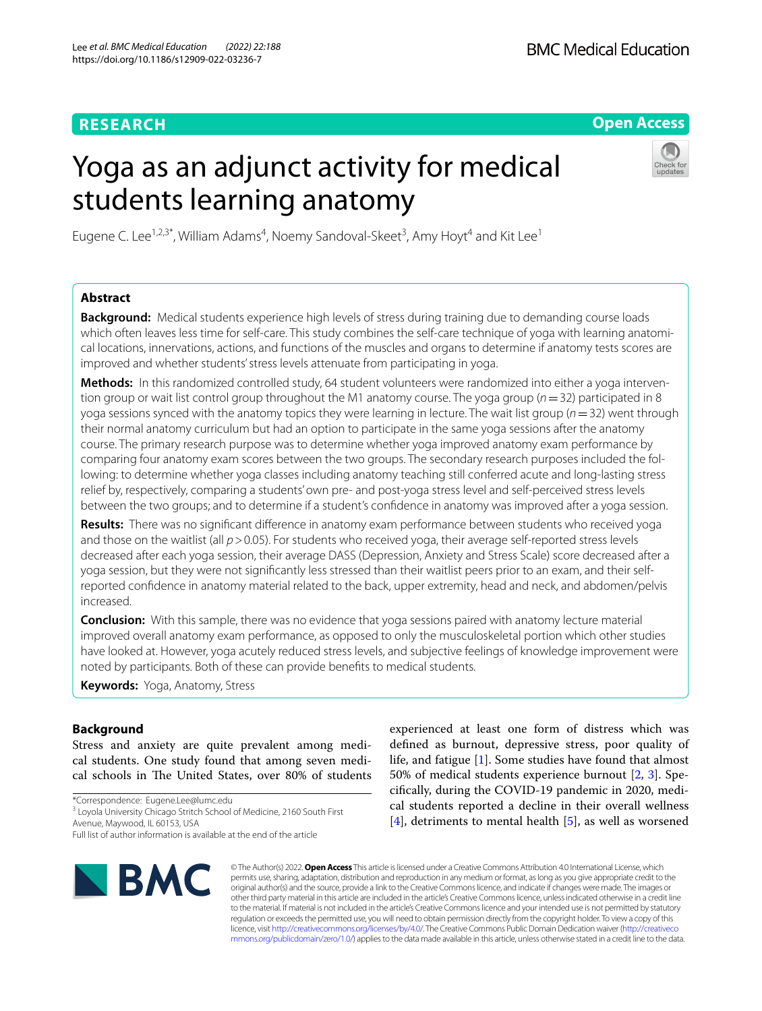# **RESEARCH**

**Open Access**

# Yoga as an adjunct activity for medical students learning anatomy



Eugene C. Lee<sup>1,2,3\*</sup>, William Adams<sup>4</sup>, Noemy Sandoval-Skeet<sup>3</sup>, Amy Hoyt<sup>4</sup> and Kit Lee<sup>1</sup>

# **Abstract**

**Background:** Medical students experience high levels of stress during training due to demanding course loads which often leaves less time for self-care. This study combines the self-care technique of yoga with learning anatomical locations, innervations, actions, and functions of the muscles and organs to determine if anatomy tests scores are improved and whether students' stress levels attenuate from participating in yoga.

Methods: In this randomized controlled study, 64 student volunteers were randomized into either a yoga intervention group or wait list control group throughout the M1 anatomy course. The yoga group (*n*=32) participated in 8 yoga sessions synced with the anatomy topics they were learning in lecture. The wait list group (*n*=32) went through their normal anatomy curriculum but had an option to participate in the same yoga sessions after the anatomy course. The primary research purpose was to determine whether yoga improved anatomy exam performance by comparing four anatomy exam scores between the two groups. The secondary research purposes included the following: to determine whether yoga classes including anatomy teaching still conferred acute and long-lasting stress relief by, respectively, comparing a students' own pre- and post-yoga stress level and self-perceived stress levels between the two groups; and to determine if a student's confdence in anatomy was improved after a yoga session.

**Results:** There was no signifcant diference in anatomy exam performance between students who received yoga and those on the waitlist (all  $p > 0.05$ ). For students who received yoga, their average self-reported stress levels decreased after each yoga session, their average DASS (Depression, Anxiety and Stress Scale) score decreased after a yoga session, but they were not signifcantly less stressed than their waitlist peers prior to an exam, and their selfreported confdence in anatomy material related to the back, upper extremity, head and neck, and abdomen/pelvis increased.

**Conclusion:** With this sample, there was no evidence that yoga sessions paired with anatomy lecture material improved overall anatomy exam performance, as opposed to only the musculoskeletal portion which other studies have looked at. However, yoga acutely reduced stress levels, and subjective feelings of knowledge improvement were noted by participants. Both of these can provide benefts to medical students.

**Keywords:** Yoga, Anatomy, Stress

# **Background**

Stress and anxiety are quite prevalent among medical students. One study found that among seven medical schools in The United States, over 80% of students

\*Correspondence: Eugene.Lee@lumc.edu

<sup>3</sup> Loyola University Chicago Stritch School of Medicine, 2160 South First Avenue, Maywood, IL 60153, USA

Full list of author information is available at the end of the article



experienced at least one form of distress which was defned as burnout, depressive stress, poor quality of life, and fatigue [[1\]](#page-7-0). Some studies have found that almost 50% of medical students experience burnout [\[2](#page-7-1), [3\]](#page-7-2). Specifcally, during the COVID-19 pandemic in 2020, medical students reported a decline in their overall wellness [[4\]](#page-7-3), detriments to mental health [[5](#page-7-4)], as well as worsened

© The Author(s) 2022. **Open Access** This article is licensed under a Creative Commons Attribution 4.0 International License, which permits use, sharing, adaptation, distribution and reproduction in any medium or format, as long as you give appropriate credit to the original author(s) and the source, provide a link to the Creative Commons licence, and indicate if changes were made. The images or other third party material in this article are included in the article's Creative Commons licence, unless indicated otherwise in a credit line to the material. If material is not included in the article's Creative Commons licence and your intended use is not permitted by statutory regulation or exceeds the permitted use, you will need to obtain permission directly from the copyright holder. To view a copy of this licence, visit [http://creativecommons.org/licenses/by/4.0/.](http://creativecommons.org/licenses/by/4.0/) The Creative Commons Public Domain Dedication waiver ([http://creativeco](http://creativecommons.org/publicdomain/zero/1.0/) [mmons.org/publicdomain/zero/1.0/](http://creativecommons.org/publicdomain/zero/1.0/)) applies to the data made available in this article, unless otherwise stated in a credit line to the data.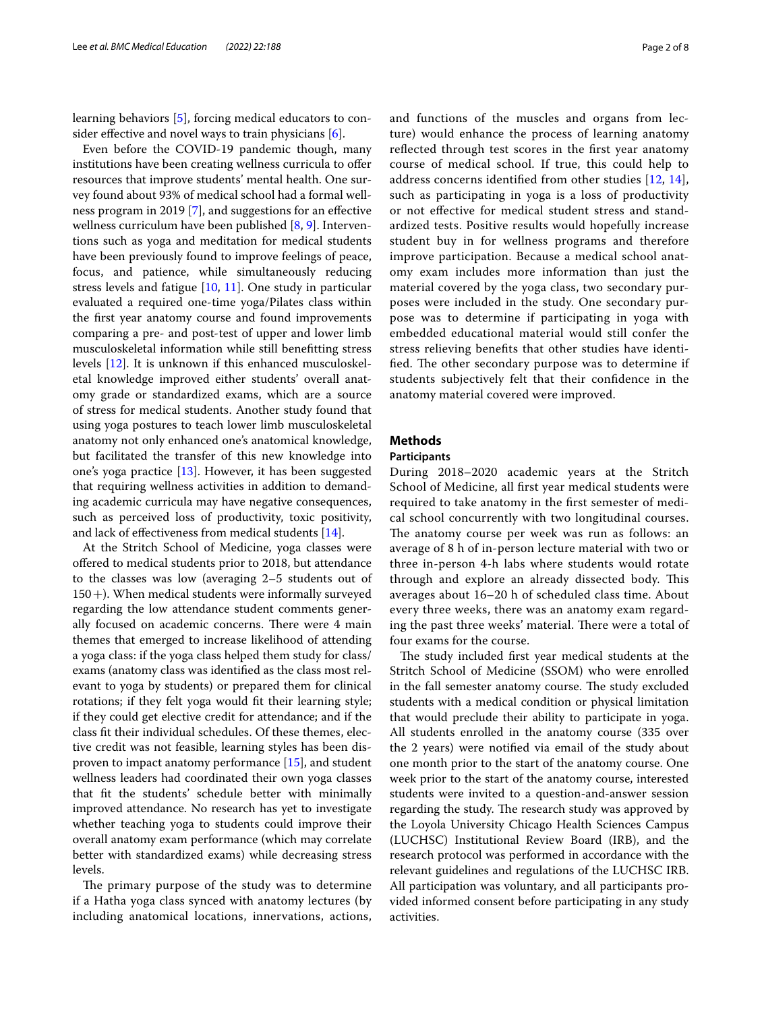learning behaviors [\[5](#page-7-4)], forcing medical educators to con-sider effective and novel ways to train physicians [[6\]](#page-7-5).

Even before the COVID-19 pandemic though, many institutions have been creating wellness curricula to offer resources that improve students' mental health. One survey found about 93% of medical school had a formal wellness program in 2019 [\[7](#page-7-6)], and suggestions for an efective wellness curriculum have been published [[8,](#page-7-7) [9](#page-7-8)]. Interventions such as yoga and meditation for medical students have been previously found to improve feelings of peace, focus, and patience, while simultaneously reducing stress levels and fatigue [\[10](#page-7-9), [11](#page-7-10)]. One study in particular evaluated a required one-time yoga/Pilates class within the frst year anatomy course and found improvements comparing a pre- and post-test of upper and lower limb musculoskeletal information while still beneftting stress levels [[12\]](#page-7-11). It is unknown if this enhanced musculoskeletal knowledge improved either students' overall anatomy grade or standardized exams, which are a source of stress for medical students. Another study found that using yoga postures to teach lower limb musculoskeletal anatomy not only enhanced one's anatomical knowledge, but facilitated the transfer of this new knowledge into one's yoga practice [\[13](#page-7-12)]. However, it has been suggested that requiring wellness activities in addition to demanding academic curricula may have negative consequences, such as perceived loss of productivity, toxic positivity, and lack of efectiveness from medical students [\[14](#page-7-13)].

At the Stritch School of Medicine, yoga classes were offered to medical students prior to 2018, but attendance to the classes was low (averaging 2–5 students out of 150+). When medical students were informally surveyed regarding the low attendance student comments generally focused on academic concerns. There were 4 main themes that emerged to increase likelihood of attending a yoga class: if the yoga class helped them study for class/ exams (anatomy class was identifed as the class most relevant to yoga by students) or prepared them for clinical rotations; if they felt yoga would ft their learning style; if they could get elective credit for attendance; and if the class ft their individual schedules. Of these themes, elective credit was not feasible, learning styles has been disproven to impact anatomy performance [[15\]](#page-7-14), and student wellness leaders had coordinated their own yoga classes that ft the students' schedule better with minimally improved attendance. No research has yet to investigate whether teaching yoga to students could improve their overall anatomy exam performance (which may correlate better with standardized exams) while decreasing stress levels.

The primary purpose of the study was to determine if a Hatha yoga class synced with anatomy lectures (by including anatomical locations, innervations, actions, and functions of the muscles and organs from lecture) would enhance the process of learning anatomy reflected through test scores in the first year anatomy course of medical school. If true, this could help to address concerns identifed from other studies [[12,](#page-7-11) [14](#page-7-13)], such as participating in yoga is a loss of productivity or not efective for medical student stress and standardized tests. Positive results would hopefully increase student buy in for wellness programs and therefore improve participation. Because a medical school anatomy exam includes more information than just the material covered by the yoga class, two secondary purposes were included in the study. One secondary purpose was to determine if participating in yoga with embedded educational material would still confer the stress relieving benefts that other studies have identified. The other secondary purpose was to determine if students subjectively felt that their confdence in the anatomy material covered were improved.

# **Methods**

# **Participants**

During 2018–2020 academic years at the Stritch School of Medicine, all frst year medical students were required to take anatomy in the frst semester of medical school concurrently with two longitudinal courses. The anatomy course per week was run as follows: an average of 8 h of in-person lecture material with two or three in-person 4-h labs where students would rotate through and explore an already dissected body. This averages about 16–20 h of scheduled class time. About every three weeks, there was an anatomy exam regarding the past three weeks' material. There were a total of four exams for the course.

The study included first year medical students at the Stritch School of Medicine (SSOM) who were enrolled in the fall semester anatomy course. The study excluded students with a medical condition or physical limitation that would preclude their ability to participate in yoga. All students enrolled in the anatomy course (335 over the 2 years) were notifed via email of the study about one month prior to the start of the anatomy course. One week prior to the start of the anatomy course, interested students were invited to a question-and-answer session regarding the study. The research study was approved by the Loyola University Chicago Health Sciences Campus (LUCHSC) Institutional Review Board (IRB), and the research protocol was performed in accordance with the relevant guidelines and regulations of the LUCHSC IRB. All participation was voluntary, and all participants provided informed consent before participating in any study activities.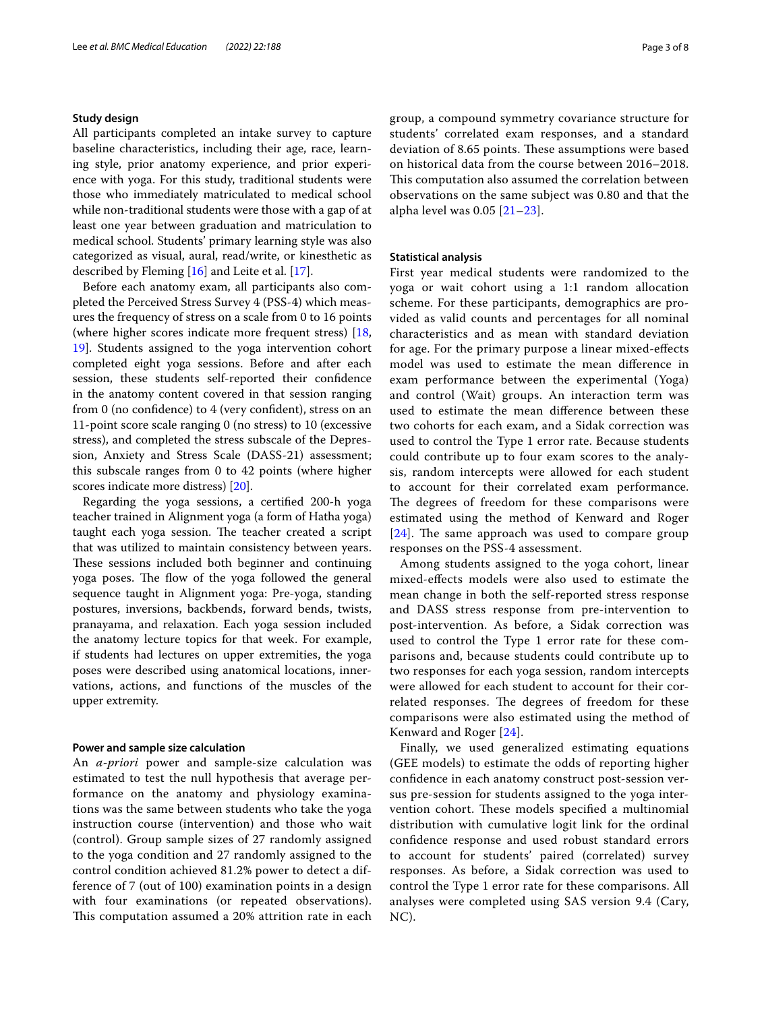# **Study design**

All participants completed an intake survey to capture baseline characteristics, including their age, race, learning style, prior anatomy experience, and prior experience with yoga. For this study, traditional students were those who immediately matriculated to medical school while non-traditional students were those with a gap of at least one year between graduation and matriculation to medical school. Students' primary learning style was also categorized as visual, aural, read/write, or kinesthetic as described by Fleming [\[16](#page-7-15)] and Leite et al. [[17\]](#page-7-16).

Before each anatomy exam, all participants also completed the Perceived Stress Survey 4 (PSS-4) which measures the frequency of stress on a scale from 0 to 16 points (where higher scores indicate more frequent stress) [\[18](#page-7-17), [19\]](#page-7-18). Students assigned to the yoga intervention cohort completed eight yoga sessions. Before and after each session, these students self-reported their confdence in the anatomy content covered in that session ranging from 0 (no confdence) to 4 (very confdent), stress on an 11-point score scale ranging 0 (no stress) to 10 (excessive stress), and completed the stress subscale of the Depression, Anxiety and Stress Scale (DASS-21) assessment; this subscale ranges from 0 to 42 points (where higher scores indicate more distress) [[20](#page-7-19)].

Regarding the yoga sessions, a certifed 200-h yoga teacher trained in Alignment yoga (a form of Hatha yoga) taught each yoga session. The teacher created a script that was utilized to maintain consistency between years. These sessions included both beginner and continuing yoga poses. The flow of the yoga followed the general sequence taught in Alignment yoga: Pre-yoga, standing postures, inversions, backbends, forward bends, twists, pranayama, and relaxation. Each yoga session included the anatomy lecture topics for that week. For example, if students had lectures on upper extremities, the yoga poses were described using anatomical locations, innervations, actions, and functions of the muscles of the upper extremity.

## **Power and sample size calculation**

An *a-priori* power and sample-size calculation was estimated to test the null hypothesis that average performance on the anatomy and physiology examinations was the same between students who take the yoga instruction course (intervention) and those who wait (control). Group sample sizes of 27 randomly assigned to the yoga condition and 27 randomly assigned to the control condition achieved 81.2% power to detect a difference of 7 (out of 100) examination points in a design with four examinations (or repeated observations). This computation assumed a 20% attrition rate in each group, a compound symmetry covariance structure for students' correlated exam responses, and a standard deviation of 8.65 points. These assumptions were based on historical data from the course between 2016–2018. This computation also assumed the correlation between observations on the same subject was 0.80 and that the alpha level was 0.05 [\[21–](#page-7-20)[23\]](#page-7-21).

# **Statistical analysis**

First year medical students were randomized to the yoga or wait cohort using a 1:1 random allocation scheme. For these participants, demographics are provided as valid counts and percentages for all nominal characteristics and as mean with standard deviation for age. For the primary purpose a linear mixed-efects model was used to estimate the mean diference in exam performance between the experimental (Yoga) and control (Wait) groups. An interaction term was used to estimate the mean diference between these two cohorts for each exam, and a Sidak correction was used to control the Type 1 error rate. Because students could contribute up to four exam scores to the analysis, random intercepts were allowed for each student to account for their correlated exam performance. The degrees of freedom for these comparisons were estimated using the method of Kenward and Roger  $[24]$  $[24]$  $[24]$ . The same approach was used to compare group responses on the PSS-4 assessment.

Among students assigned to the yoga cohort, linear mixed-efects models were also used to estimate the mean change in both the self-reported stress response and DASS stress response from pre-intervention to post-intervention. As before, a Sidak correction was used to control the Type 1 error rate for these comparisons and, because students could contribute up to two responses for each yoga session, random intercepts were allowed for each student to account for their correlated responses. The degrees of freedom for these comparisons were also estimated using the method of Kenward and Roger [[24\]](#page-7-22).

Finally, we used generalized estimating equations (GEE models) to estimate the odds of reporting higher confdence in each anatomy construct post-session versus pre-session for students assigned to the yoga intervention cohort. These models specified a multinomial distribution with cumulative logit link for the ordinal confdence response and used robust standard errors to account for students' paired (correlated) survey responses. As before, a Sidak correction was used to control the Type 1 error rate for these comparisons. All analyses were completed using SAS version 9.4 (Cary, NC).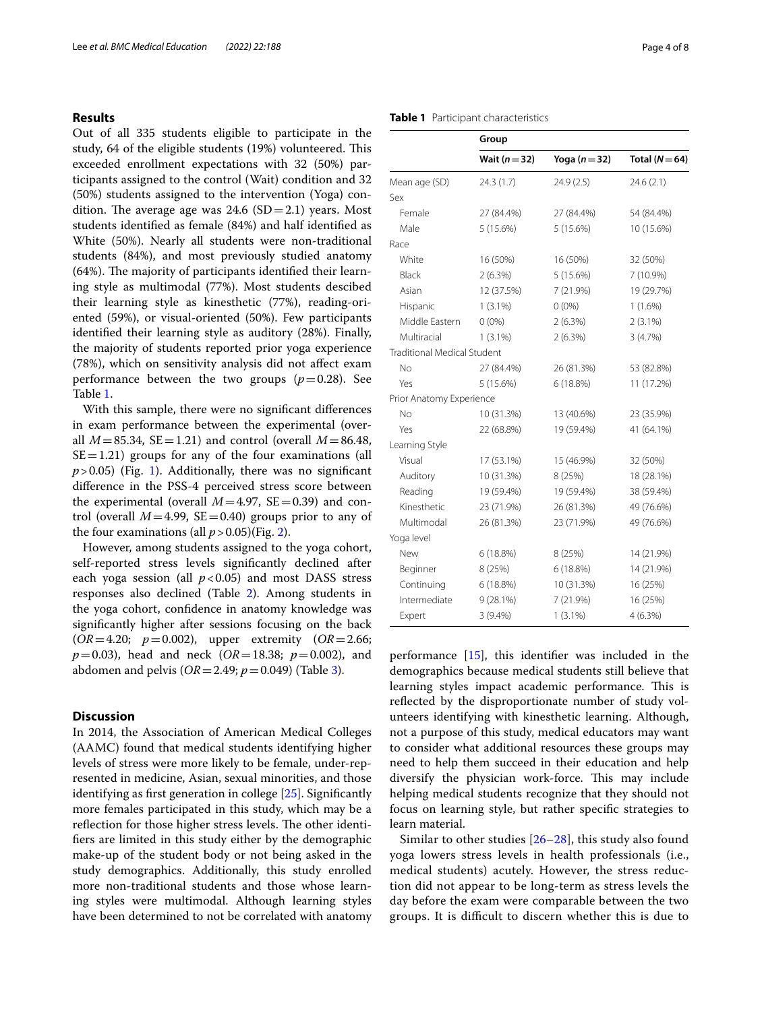# **Results**

Out of all 335 students eligible to participate in the study, 64 of the eligible students (19%) volunteered. This exceeded enrollment expectations with 32 (50%) participants assigned to the control (Wait) condition and 32 (50%) students assigned to the intervention (Yoga) condition. The average age was  $24.6$  (SD=2.1) years. Most students identifed as female (84%) and half identifed as White (50%). Nearly all students were non-traditional students (84%), and most previously studied anatomy  $(64%)$ . The majority of participants identified their learning style as multimodal (77%). Most students descibed their learning style as kinesthetic (77%), reading-oriented (59%), or visual-oriented (50%). Few participants identifed their learning style as auditory (28%). Finally, the majority of students reported prior yoga experience (78%), which on sensitivity analysis did not afect exam performance between the two groups  $(p=0.28)$ . See Table [1](#page-3-0).

With this sample, there were no signifcant diferences in exam performance between the experimental (overall  $M = 85.34$ ,  $SE = 1.21$ ) and control (overall  $M = 86.48$ ,  $SE = 1.21$ ) groups for any of the four examinations (all  $p > 0.05$ ) (Fig. [1\)](#page-4-0). Additionally, there was no significant diference in the PSS-4 perceived stress score between the experimental (overall  $M=4.97$ ,  $SE=0.39$ ) and control (overall  $M=4.99$ ,  $SE=0.40$ ) groups prior to any of the four examinations (all  $p > 0.05$ )(Fig. [2\)](#page-4-1).

However, among students assigned to the yoga cohort, self-reported stress levels signifcantly declined after each yoga session (all  $p < 0.05$ ) and most DASS stress responses also declined (Table [2\)](#page-5-0). Among students in the yoga cohort, confdence in anatomy knowledge was signifcantly higher after sessions focusing on the back (*OR*=4.20; *p*=0.002), upper extremity (*OR*=2.66; *p*=0.03), head and neck (*OR*=18.38; *p*=0.002), and abdomen and pelvis (*OR*=2.49; *p*=0.049) (Table [3\)](#page-5-1).

# **Discussion**

In 2014, the Association of American Medical Colleges (AAMC) found that medical students identifying higher levels of stress were more likely to be female, under-represented in medicine, Asian, sexual minorities, and those identifying as frst generation in college [\[25](#page-7-23)]. Signifcantly more females participated in this study, which may be a reflection for those higher stress levels. The other identifers are limited in this study either by the demographic make-up of the student body or not being asked in the study demographics. Additionally, this study enrolled more non-traditional students and those whose learning styles were multimodal. Although learning styles have been determined to not be correlated with anatomy

<span id="page-3-0"></span>**Table 1** Participant characteristics

|                                    | Group         |               |                    |
|------------------------------------|---------------|---------------|--------------------|
|                                    | Wait $(n=32)$ | Yoga $(n=32)$ | Total ( $N = 64$ ) |
| Mean age (SD)                      | 24.3(1.7)     | 24.9(2.5)     | 24.6(2.1)          |
| Sex                                |               |               |                    |
| Female                             | 27 (84.4%)    | 27 (84.4%)    | 54 (84.4%)         |
| Male                               | 5(15.6%)      | 5 (15.6%)     | 10 (15.6%)         |
| Race                               |               |               |                    |
| White                              | 16 (50%)      | 16 (50%)      | 32 (50%)           |
| Black                              | $2(6.3\%)$    | 5(15.6%)      | 7 (10.9%)          |
| Asian                              | 12 (37.5%)    | 7 (21.9%)     | 19 (29.7%)         |
| Hispanic                           | $1(3.1\%)$    | $0(0\%)$      | $1(1.6\%)$         |
| Middle Eastern                     | $0(0\%)$      | 2(6.3%)       | $2(3.1\%)$         |
| Multiracial                        | $1(3.1\%)$    | 2(6.3%)       | 3(4.7%)            |
| <b>Traditional Medical Student</b> |               |               |                    |
| No                                 | 27 (84.4%)    | 26 (81.3%)    | 53 (82.8%)         |
| Yes                                | 5 (15.6%)     | 6 (18.8%)     | 11 (17.2%)         |
| Prior Anatomy Experience           |               |               |                    |
| <b>No</b>                          | 10 (31.3%)    | 13 (40.6%)    | 23 (35.9%)         |
| Yes                                | 22 (68.8%)    | 19 (59.4%)    | 41 (64.1%)         |
| Learning Style                     |               |               |                    |
| Visual                             | 17 (53.1%)    | 15 (46.9%)    | 32 (50%)           |
| Auditory                           | 10 (31.3%)    | 8 (25%)       | 18 (28.1%)         |
| Reading                            | 19 (59.4%)    | 19 (59.4%)    | 38 (59.4%)         |
| Kinesthetic                        | 23 (71.9%)    | 26 (81.3%)    | 49 (76.6%)         |
| Multimodal                         | 26 (81.3%)    | 23 (71.9%)    | 49 (76.6%)         |
| Yoga level                         |               |               |                    |
| New                                | 6(18.8%)      | 8 (25%)       | 14 (21.9%)         |
| Beginner                           | 8 (25%)       | 6(18.8%)      | 14 (21.9%)         |
| Continuing                         | 6(18.8%)      | 10 (31.3%)    | 16 (25%)           |
| Intermediate                       | $9(28.1\%)$   | 7 (21.9%)     | 16 (25%)           |
| Expert                             | $3(9.4\%)$    | $1(3.1\%)$    | $4(6.3\%)$         |

performance [[15\]](#page-7-14), this identifer was included in the demographics because medical students still believe that learning styles impact academic performance. This is reflected by the disproportionate number of study volunteers identifying with kinesthetic learning. Although, not a purpose of this study, medical educators may want to consider what additional resources these groups may need to help them succeed in their education and help diversify the physician work-force. This may include helping medical students recognize that they should not focus on learning style, but rather specifc strategies to learn material.

Similar to other studies  $[26-28]$  $[26-28]$  $[26-28]$ , this study also found yoga lowers stress levels in health professionals (i.e., medical students) acutely. However, the stress reduction did not appear to be long-term as stress levels the day before the exam were comparable between the two groups. It is difficult to discern whether this is due to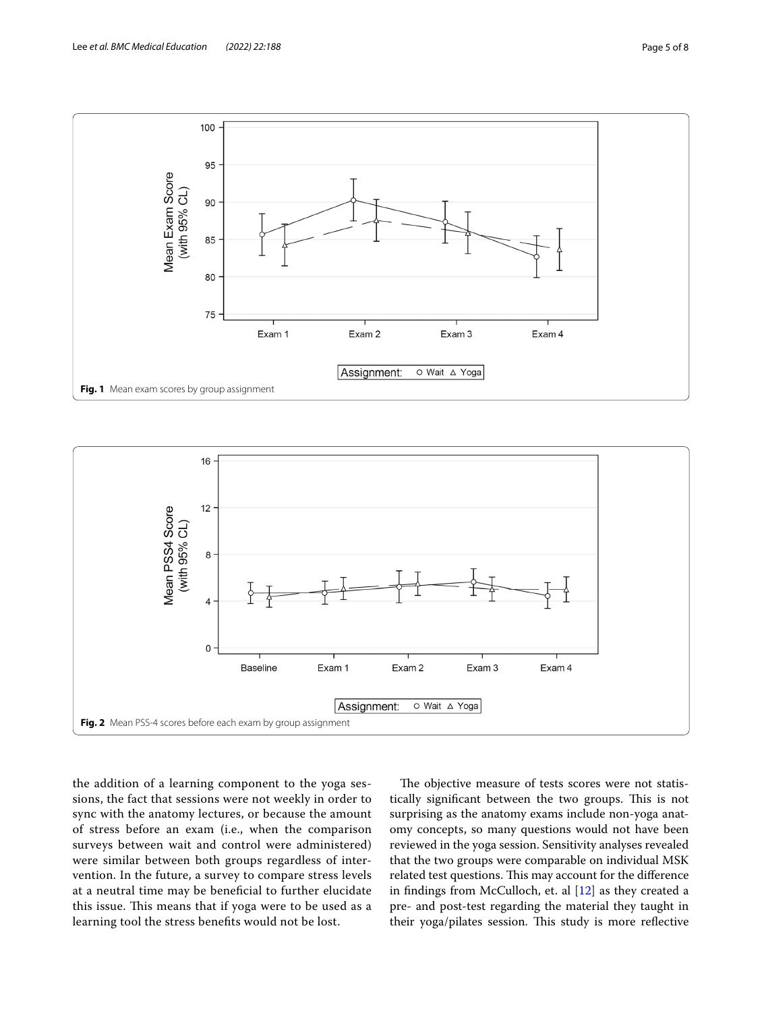

<span id="page-4-0"></span>

<span id="page-4-1"></span>the addition of a learning component to the yoga sessions, the fact that sessions were not weekly in order to sync with the anatomy lectures, or because the amount of stress before an exam (i.e., when the comparison surveys between wait and control were administered) were similar between both groups regardless of intervention. In the future, a survey to compare stress levels at a neutral time may be benefcial to further elucidate this issue. This means that if yoga were to be used as a learning tool the stress benefts would not be lost.

The objective measure of tests scores were not statistically significant between the two groups. This is not surprising as the anatomy exams include non-yoga anatomy concepts, so many questions would not have been reviewed in the yoga session. Sensitivity analyses revealed that the two groups were comparable on individual MSK related test questions. This may account for the difference in fndings from McCulloch, et. al [\[12](#page-7-11)] as they created a pre- and post-test regarding the material they taught in their yoga/pilates session. This study is more reflective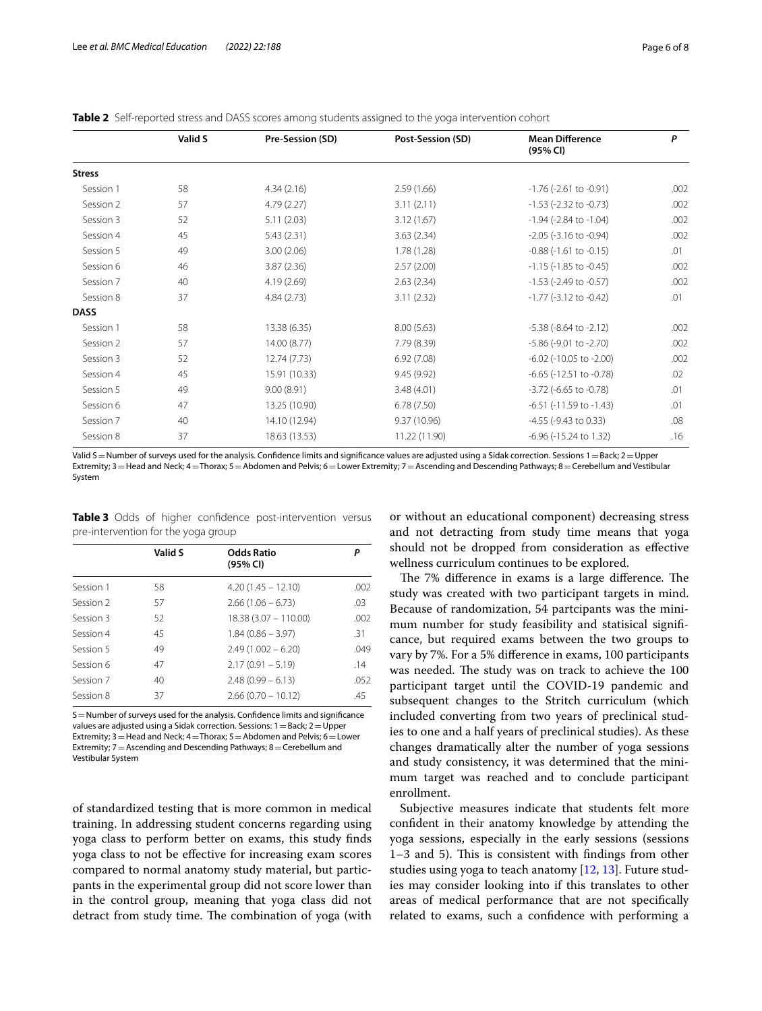<span id="page-5-0"></span>

| <b>Table 2</b> Self-reported stress and DASS scores among students assigned to the yoga intervention cohort |  |  |  |
|-------------------------------------------------------------------------------------------------------------|--|--|--|
|-------------------------------------------------------------------------------------------------------------|--|--|--|

|               | Valid S | Pre-Session (SD) | Post-Session (SD) | <b>Mean Difference</b><br>(95% CI) | P    |
|---------------|---------|------------------|-------------------|------------------------------------|------|
| <b>Stress</b> |         |                  |                   |                                    |      |
| Session 1     | 58      | 4.34(2.16)       | 2.59(1.66)        | $-1.76$ ( $-2.61$ to $-0.91$ )     | .002 |
| Session 2     | 57      | 4.79(2.27)       | 3.11(2.11)        | $-1.53$ ( $-2.32$ to $-0.73$ )     | .002 |
| Session 3     | 52      | 5.11(2.03)       | 3.12(1.67)        | $-1.94$ ( $-2.84$ to $-1.04$ )     | .002 |
| Session 4     | 45      | 5.43(2.31)       | 3.63(2.34)        | $-2.05$ ( $-3.16$ to $-0.94$ )     | .002 |
| Session 5     | 49      | 3.00(2.06)       | 1.78(1.28)        | $-0.88$ ( $-1.61$ to $-0.15$ )     | .01  |
| Session 6     | 46      | 3.87(2.36)       | 2.57(2.00)        | $-1.15$ ( $-1.85$ to $-0.45$ )     | .002 |
| Session 7     | 40      | 4.19(2.69)       | 2.63(2.34)        | $-1.53$ ( $-2.49$ to $-0.57$ )     | .002 |
| Session 8     | 37      | 4.84(2.73)       | 3.11(2.32)        | $-1.77$ ( $-3.12$ to $-0.42$ )     | .01  |
| <b>DASS</b>   |         |                  |                   |                                    |      |
| Session 1     | 58      | 13.38 (6.35)     | 8.00(5.63)        | $-5.38$ ( $-8.64$ to $-2.12$ )     | .002 |
| Session 2     | 57      | 14.00 (8.77)     | 7.79 (8.39)       | $-5.86$ ( $-9.01$ to $-2.70$ )     | .002 |
| Session 3     | 52      | 12.74 (7.73)     | 6.92(7.08)        | $-6.02$ ( $-10.05$ to $-2.00$ )    | .002 |
| Session 4     | 45      | 15.91 (10.33)    | 9.45(9.92)        | $-6.65$ ( $-12.51$ to $-0.78$ )    | .02  |
| Session 5     | 49      | 9.00(8.91)       | 3.48(4.01)        | $-3.72$ ( $-6.65$ to $-0.78$ )     | .01  |
| Session 6     | 47      | 13.25 (10.90)    | 6.78(7.50)        | $-6.51$ ( $-11.59$ to $-1.43$ )    | .01  |
| Session 7     | 40      | 14.10 (12.94)    | 9.37 (10.96)      | $-4.55$ ( $-9.43$ to 0.33)         | .08  |
| Session 8     | 37      | 18.63 (13.53)    | 11.22 (11.90)     | $-6.96$ ( $-15.24$ to 1.32)        | .16  |
|               |         |                  |                   |                                    |      |

Valid S = Number of surveys used for the analysis. Confidence limits and significance values are adjusted using a Sidak correction. Sessions 1 = Back; 2 = Upper Extremity; 3 = Head and Neck; 4 = Thorax; 5 = Abdomen and Pelvis; 6 = Lower Extremity; 7 = Ascending and Descending Pathways; 8 = Cerebellum and Vestibular System

<span id="page-5-1"></span>**Table 3** Odds of higher confidence post-intervention versus pre-intervention for the yoga group

|           | Valid S | <b>Odds Ratio</b><br>(95% CI) | Р    |
|-----------|---------|-------------------------------|------|
| Session 1 | 58      | $4.20(1.45 - 12.10)$          | .002 |
| Session 2 | 57      | $2.66(1.06 - 6.73)$           | .03  |
| Session 3 | 52      | $18.38(3.07 - 110.00)$        | .002 |
| Session 4 | 45      | $1.84(0.86 - 3.97)$           | .31  |
| Session 5 | 49      | $2.49(1.002 - 6.20)$          | .049 |
| Session 6 | 47      | $2.17(0.91 - 5.19)$           | .14  |
| Session 7 | 40      | $2.48(0.99 - 6.13)$           | .052 |
| Session 8 | 37      | $2.66(0.70 - 10.12)$          | .45  |

S=Number of surveys used for the analysis. Confdence limits and signifcance values are adjusted using a Sidak correction. Sessions:  $1 =$ Back;  $2 =$ Upper Extremity;  $3 =$  Head and Neck;  $4 =$ Thorax;  $5 =$ Abdomen and Pelvis;  $6 =$ Lower Extremity;  $7 =$  Ascending and Descending Pathways; 8 = Cerebellum and Vestibular System

of standardized testing that is more common in medical training. In addressing student concerns regarding using yoga class to perform better on exams, this study fnds yoga class to not be efective for increasing exam scores compared to normal anatomy study material, but particpants in the experimental group did not score lower than in the control group, meaning that yoga class did not detract from study time. The combination of yoga (with

or without an educational component) decreasing stress and not detracting from study time means that yoga should not be dropped from consideration as efective wellness curriculum continues to be explored.

The 7% difference in exams is a large difference. The study was created with two participant targets in mind. Because of randomization, 54 partcipants was the minimum number for study feasibility and statisical signifcance, but required exams between the two groups to vary by 7%. For a 5% diference in exams, 100 participants was needed. The study was on track to achieve the 100 participant target until the COVID-19 pandemic and subsequent changes to the Stritch curriculum (which included converting from two years of preclinical studies to one and a half years of preclinical studies). As these changes dramatically alter the number of yoga sessions and study consistency, it was determined that the minimum target was reached and to conclude participant enrollment.

Subjective measures indicate that students felt more confdent in their anatomy knowledge by attending the yoga sessions, especially in the early sessions (sessions 1–3 and 5). This is consistent with findings from other studies using yoga to teach anatomy [\[12](#page-7-11), [13\]](#page-7-12). Future studies may consider looking into if this translates to other areas of medical performance that are not specifcally related to exams, such a confdence with performing a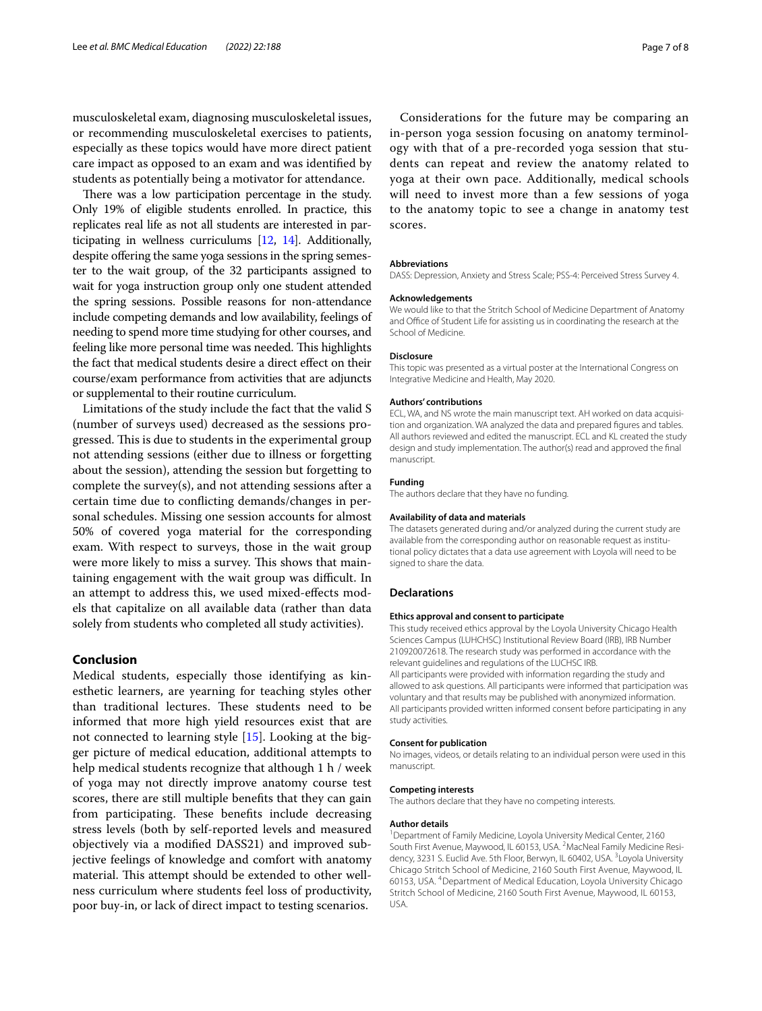musculoskeletal exam, diagnosing musculoskeletal issues, or recommending musculoskeletal exercises to patients, especially as these topics would have more direct patient care impact as opposed to an exam and was identifed by students as potentially being a motivator for attendance.

There was a low participation percentage in the study. Only 19% of eligible students enrolled. In practice, this replicates real life as not all students are interested in participating in wellness curriculums [\[12,](#page-7-11) [14](#page-7-13)]. Additionally, despite offering the same yoga sessions in the spring semester to the wait group, of the 32 participants assigned to wait for yoga instruction group only one student attended the spring sessions. Possible reasons for non-attendance include competing demands and low availability, feelings of needing to spend more time studying for other courses, and feeling like more personal time was needed. This highlights the fact that medical students desire a direct efect on their course/exam performance from activities that are adjuncts or supplemental to their routine curriculum.

Limitations of the study include the fact that the valid S (number of surveys used) decreased as the sessions progressed. This is due to students in the experimental group not attending sessions (either due to illness or forgetting about the session), attending the session but forgetting to complete the survey(s), and not attending sessions after a certain time due to conficting demands/changes in personal schedules. Missing one session accounts for almost 50% of covered yoga material for the corresponding exam. With respect to surveys, those in the wait group were more likely to miss a survey. This shows that maintaining engagement with the wait group was difficult. In an attempt to address this, we used mixed-efects models that capitalize on all available data (rather than data solely from students who completed all study activities).

# **Conclusion**

Medical students, especially those identifying as kinesthetic learners, are yearning for teaching styles other than traditional lectures. These students need to be informed that more high yield resources exist that are not connected to learning style [\[15](#page-7-14)]. Looking at the bigger picture of medical education, additional attempts to help medical students recognize that although 1 h / week of yoga may not directly improve anatomy course test scores, there are still multiple benefts that they can gain from participating. These benefits include decreasing stress levels (both by self-reported levels and measured objectively via a modifed DASS21) and improved subjective feelings of knowledge and comfort with anatomy material. This attempt should be extended to other wellness curriculum where students feel loss of productivity, poor buy-in, or lack of direct impact to testing scenarios.

Considerations for the future may be comparing an in-person yoga session focusing on anatomy terminology with that of a pre-recorded yoga session that students can repeat and review the anatomy related to yoga at their own pace. Additionally, medical schools will need to invest more than a few sessions of yoga to the anatomy topic to see a change in anatomy test scores.

#### **Abbreviations**

DASS: Depression, Anxiety and Stress Scale; PSS-4: Perceived Stress Survey 4.

#### **Acknowledgements**

We would like to that the Stritch School of Medicine Department of Anatomy and Office of Student Life for assisting us in coordinating the research at the School of Medicine.

#### **Disclosure**

This topic was presented as a virtual poster at the International Congress on Integrative Medicine and Health, May 2020.

#### **Authors' contributions**

ECL, WA, and NS wrote the main manuscript text. AH worked on data acquisition and organization. WA analyzed the data and prepared figures and tables. All authors reviewed and edited the manuscript. ECL and KL created the study design and study implementation. The author(s) read and approved the fnal manuscript.

#### **Funding**

The authors declare that they have no funding.

#### **Availability of data and materials**

The datasets generated during and/or analyzed during the current study are available from the corresponding author on reasonable request as institutional policy dictates that a data use agreement with Loyola will need to be signed to share the data.

#### **Declarations**

#### **Ethics approval and consent to participate**

This study received ethics approval by the Loyola University Chicago Health Sciences Campus (LUHCHSC) Institutional Review Board (IRB), IRB Number 210920072618. The research study was performed in accordance with the relevant guidelines and regulations of the LUCHSC IRB. All participants were provided with information regarding the study and allowed to ask questions. All participants were informed that participation was voluntary and that results may be published with anonymized information.

All participants provided written informed consent before participating in any study activities.

### **Consent for publication**

No images, videos, or details relating to an individual person were used in this manuscript.

#### **Competing interests**

The authors declare that they have no competing interests.

#### **Author details**

<sup>1</sup> Department of Family Medicine, Loyola University Medical Center, 2160 South First Avenue, Maywood, IL 60153, USA. <sup>2</sup>MacNeal Family Medicine Residency, 3231 S. Euclid Ave. 5th Floor, Berwyn, IL 60402, USA. <sup>3</sup> Loyola University Chicago Stritch School of Medicine, 2160 South First Avenue, Maywood, IL 60153, USA. 4Department of Medical Education, Loyola University Chicago Stritch School of Medicine, 2160 South First Avenue, Maywood, IL 60153, USA.